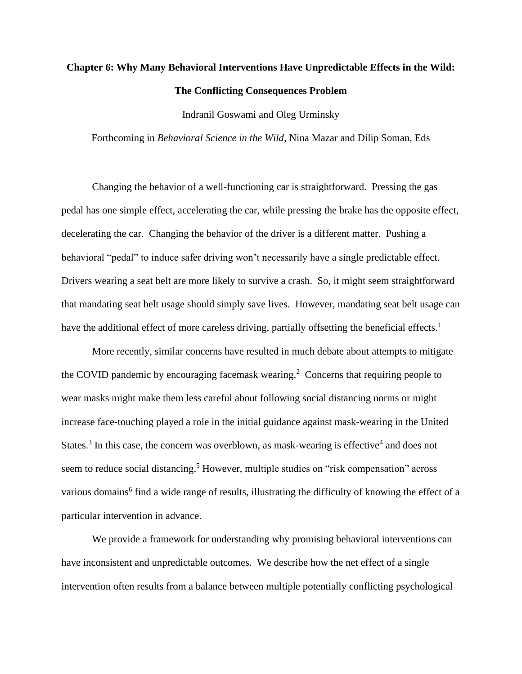# **Chapter 6: Why Many Behavioral Interventions Have Unpredictable Effects in the Wild: The Conflicting Consequences Problem**

Indranil Goswami and Oleg Urminsky

Forthcoming in *Behavioral Science in the Wild*, Nina Mazar and Dilip Soman, Eds

Changing the behavior of a well-functioning car is straightforward. Pressing the gas pedal has one simple effect, accelerating the car, while pressing the brake has the opposite effect, decelerating the car. Changing the behavior of the driver is a different matter. Pushing a behavioral "pedal" to induce safer driving won't necessarily have a single predictable effect. Drivers wearing a seat belt are more likely to survive a crash. So, it might seem straightforward that mandating seat belt usage should simply save lives. However, mandating seat belt usage can have the additional effect of more careless driving, partially offsetting the beneficial effects.<sup>1</sup>

More recently, similar concerns have resulted in much debate about attempts to mitigate the COVID pandemic by encouraging facemask wearing. 2 Concerns that requiring people to wear masks might make them less careful about following social distancing norms or might increase face-touching played a role in the initial guidance against mask-wearing in the United States.<sup>3</sup> In this case, the concern was overblown, as mask-wearing is effective<sup>4</sup> and does not seem to reduce social distancing.<sup>5</sup> However, multiple studies on "risk compensation" across various domains<sup>6</sup> find a wide range of results, illustrating the difficulty of knowing the effect of a particular intervention in advance.

We provide a framework for understanding why promising behavioral interventions can have inconsistent and unpredictable outcomes. We describe how the net effect of a single intervention often results from a balance between multiple potentially conflicting psychological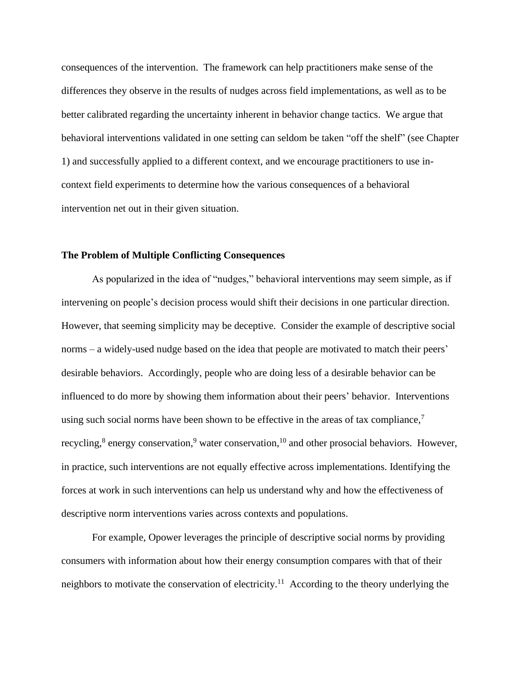consequences of the intervention. The framework can help practitioners make sense of the differences they observe in the results of nudges across field implementations, as well as to be better calibrated regarding the uncertainty inherent in behavior change tactics. We argue that behavioral interventions validated in one setting can seldom be taken "off the shelf" (see Chapter 1) and successfully applied to a different context, and we encourage practitioners to use incontext field experiments to determine how the various consequences of a behavioral intervention net out in their given situation.

## **The Problem of Multiple Conflicting Consequences**

As popularized in the idea of "nudges," behavioral interventions may seem simple, as if intervening on people's decision process would shift their decisions in one particular direction. However, that seeming simplicity may be deceptive. Consider the example of descriptive social norms – a widely-used nudge based on the idea that people are motivated to match their peers' desirable behaviors. Accordingly, people who are doing less of a desirable behavior can be influenced to do more by showing them information about their peers' behavior. Interventions using such social norms have been shown to be effective in the areas of tax compliance,<sup>7</sup> recycling,<sup>8</sup> energy conservation,<sup>9</sup> water conservation,<sup>10</sup> and other prosocial behaviors. However, in practice, such interventions are not equally effective across implementations. Identifying the forces at work in such interventions can help us understand why and how the effectiveness of descriptive norm interventions varies across contexts and populations.

For example, Opower leverages the principle of descriptive social norms by providing consumers with information about how their energy consumption compares with that of their neighbors to motivate the conservation of electricity.<sup>11</sup> According to the theory underlying the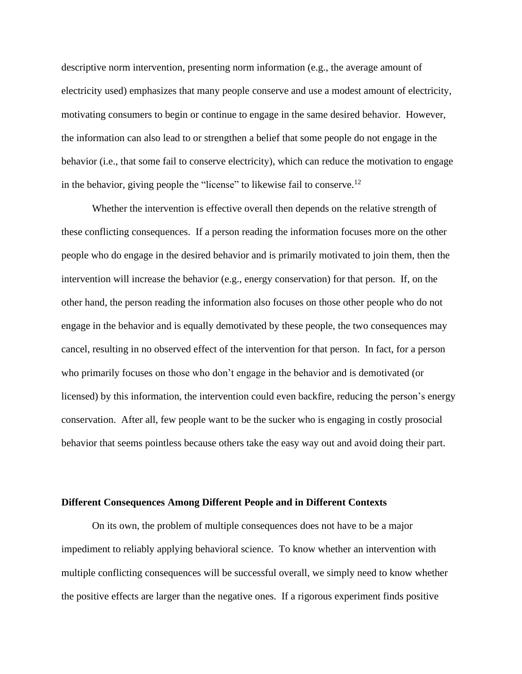descriptive norm intervention, presenting norm information (e.g., the average amount of electricity used) emphasizes that many people conserve and use a modest amount of electricity, motivating consumers to begin or continue to engage in the same desired behavior. However, the information can also lead to or strengthen a belief that some people do not engage in the behavior (i.e., that some fail to conserve electricity), which can reduce the motivation to engage in the behavior, giving people the "license" to likewise fail to conserve.<sup>12</sup>

Whether the intervention is effective overall then depends on the relative strength of these conflicting consequences. If a person reading the information focuses more on the other people who do engage in the desired behavior and is primarily motivated to join them, then the intervention will increase the behavior (e.g., energy conservation) for that person. If, on the other hand, the person reading the information also focuses on those other people who do not engage in the behavior and is equally demotivated by these people, the two consequences may cancel, resulting in no observed effect of the intervention for that person. In fact, for a person who primarily focuses on those who don't engage in the behavior and is demotivated (or licensed) by this information, the intervention could even backfire, reducing the person's energy conservation. After all, few people want to be the sucker who is engaging in costly prosocial behavior that seems pointless because others take the easy way out and avoid doing their part.

## **Different Consequences Among Different People and in Different Contexts**

On its own, the problem of multiple consequences does not have to be a major impediment to reliably applying behavioral science. To know whether an intervention with multiple conflicting consequences will be successful overall, we simply need to know whether the positive effects are larger than the negative ones. If a rigorous experiment finds positive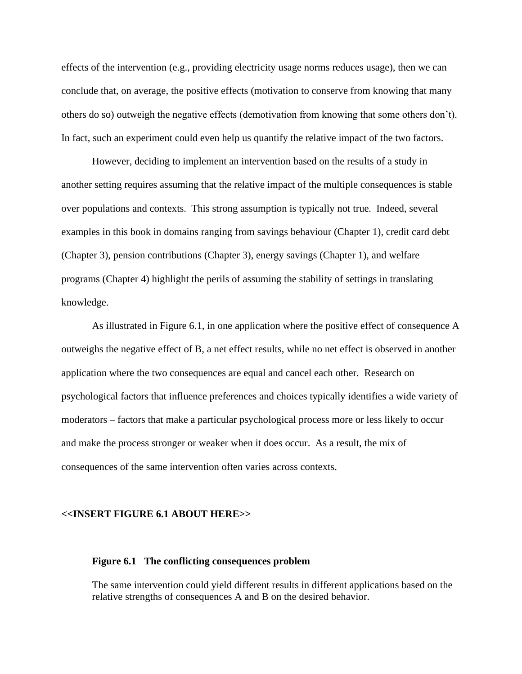effects of the intervention (e.g., providing electricity usage norms reduces usage), then we can conclude that, on average, the positive effects (motivation to conserve from knowing that many others do so) outweigh the negative effects (demotivation from knowing that some others don't). In fact, such an experiment could even help us quantify the relative impact of the two factors.

However, deciding to implement an intervention based on the results of a study in another setting requires assuming that the relative impact of the multiple consequences is stable over populations and contexts. This strong assumption is typically not true. Indeed, several examples in this book in domains ranging from savings behaviour (Chapter 1), credit card debt (Chapter 3), pension contributions (Chapter 3), energy savings (Chapter 1), and welfare programs (Chapter 4) highlight the perils of assuming the stability of settings in translating knowledge.

As illustrated in Figure 6.1, in one application where the positive effect of consequence A outweighs the negative effect of B, a net effect results, while no net effect is observed in another application where the two consequences are equal and cancel each other. Research on psychological factors that influence preferences and choices typically identifies a wide variety of moderators – factors that make a particular psychological process more or less likely to occur and make the process stronger or weaker when it does occur. As a result, the mix of consequences of the same intervention often varies across contexts.

#### **<<INSERT FIGURE 6.1 ABOUT HERE>>**

## **Figure 6.1 The conflicting consequences problem**

The same intervention could yield different results in different applications based on the relative strengths of consequences A and B on the desired behavior.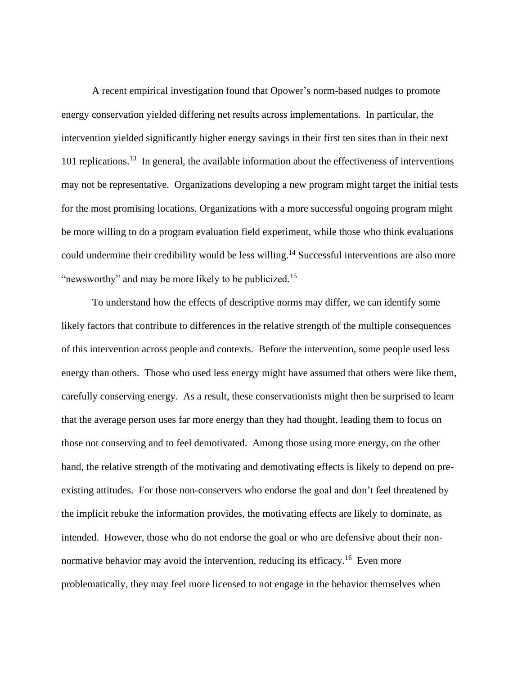A recent empirical investigation found that Opower's norm-based nudges to promote energy conservation yielded differing net results across implementations. In particular, the intervention yielded significantly higher energy savings in their first ten sites than in their next 101 replications.<sup>13</sup> In general, the available information about the effectiveness of interventions may not be representative. Organizations developing a new program might target the initial tests for the most promising locations. Organizations with a more successful ongoing program might be more willing to do a program evaluation field experiment, while those who think evaluations could undermine their credibility would be less willing. <sup>14</sup> Successful interventions are also more "newsworthy" and may be more likely to be publicized.<sup>15</sup>

To understand how the effects of descriptive norms may differ, we can identify some likely factors that contribute to differences in the relative strength of the multiple consequences of this intervention across people and contexts. Before the intervention, some people used less energy than others. Those who used less energy might have assumed that others were like them, carefully conserving energy. As a result, these conservationists might then be surprised to learn that the average person uses far more energy than they had thought, leading them to focus on those not conserving and to feel demotivated. Among those using more energy, on the other hand, the relative strength of the motivating and demotivating effects is likely to depend on preexisting attitudes. For those non-conservers who endorse the goal and don't feel threatened by the implicit rebuke the information provides, the motivating effects are likely to dominate, as intended. However, those who do not endorse the goal or who are defensive about their nonnormative behavior may avoid the intervention, reducing its efficacy.<sup>16</sup> Even more problematically, they may feel more licensed to not engage in the behavior themselves when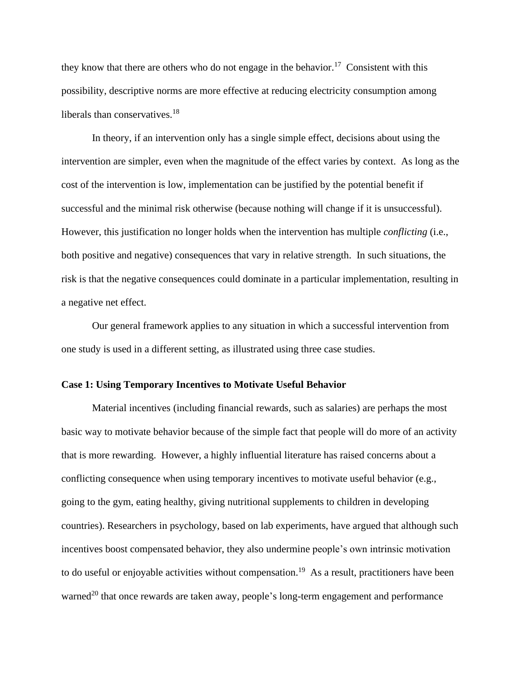they know that there are others who do not engage in the behavior.<sup>17</sup> Consistent with this possibility, descriptive norms are more effective at reducing electricity consumption among liberals than conservatives.<sup>18</sup>

In theory, if an intervention only has a single simple effect, decisions about using the intervention are simpler, even when the magnitude of the effect varies by context. As long as the cost of the intervention is low, implementation can be justified by the potential benefit if successful and the minimal risk otherwise (because nothing will change if it is unsuccessful). However, this justification no longer holds when the intervention has multiple *conflicting* (i.e., both positive and negative) consequences that vary in relative strength. In such situations, the risk is that the negative consequences could dominate in a particular implementation, resulting in a negative net effect.

Our general framework applies to any situation in which a successful intervention from one study is used in a different setting, as illustrated using three case studies.

### **Case 1: Using Temporary Incentives to Motivate Useful Behavior**

Material incentives (including financial rewards, such as salaries) are perhaps the most basic way to motivate behavior because of the simple fact that people will do more of an activity that is more rewarding. However, a highly influential literature has raised concerns about a conflicting consequence when using temporary incentives to motivate useful behavior (e.g., going to the gym, eating healthy, giving nutritional supplements to children in developing countries). Researchers in psychology, based on lab experiments, have argued that although such incentives boost compensated behavior, they also undermine people's own intrinsic motivation to do useful or enjoyable activities without compensation.<sup>19</sup> As a result, practitioners have been warned<sup>20</sup> that once rewards are taken away, people's long-term engagement and performance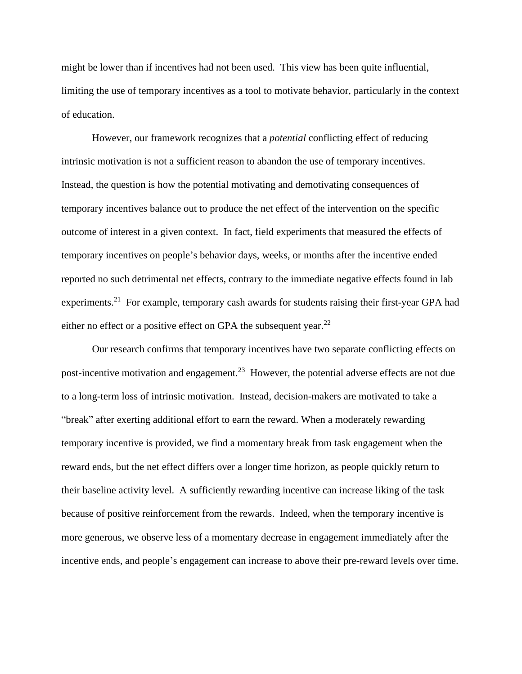might be lower than if incentives had not been used. This view has been quite influential, limiting the use of temporary incentives as a tool to motivate behavior, particularly in the context of education.

However, our framework recognizes that a *potential* conflicting effect of reducing intrinsic motivation is not a sufficient reason to abandon the use of temporary incentives. Instead, the question is how the potential motivating and demotivating consequences of temporary incentives balance out to produce the net effect of the intervention on the specific outcome of interest in a given context. In fact, field experiments that measured the effects of temporary incentives on people's behavior days, weeks, or months after the incentive ended reported no such detrimental net effects, contrary to the immediate negative effects found in lab experiments.<sup>21</sup> For example, temporary cash awards for students raising their first-year GPA had either no effect or a positive effect on GPA the subsequent year.<sup>22</sup>

Our research confirms that temporary incentives have two separate conflicting effects on post-incentive motivation and engagement.<sup>23</sup> However, the potential adverse effects are not due to a long-term loss of intrinsic motivation. Instead, decision-makers are motivated to take a "break" after exerting additional effort to earn the reward. When a moderately rewarding temporary incentive is provided, we find a momentary break from task engagement when the reward ends, but the net effect differs over a longer time horizon, as people quickly return to their baseline activity level. A sufficiently rewarding incentive can increase liking of the task because of positive reinforcement from the rewards. Indeed, when the temporary incentive is more generous, we observe less of a momentary decrease in engagement immediately after the incentive ends, and people's engagement can increase to above their pre-reward levels over time.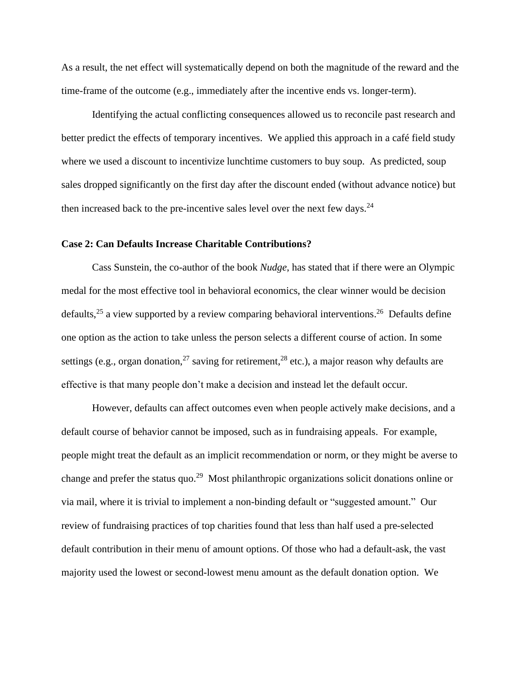As a result, the net effect will systematically depend on both the magnitude of the reward and the time-frame of the outcome (e.g., immediately after the incentive ends vs. longer-term).

Identifying the actual conflicting consequences allowed us to reconcile past research and better predict the effects of temporary incentives. We applied this approach in a café field study where we used a discount to incentivize lunchtime customers to buy soup. As predicted, soup sales dropped significantly on the first day after the discount ended (without advance notice) but then increased back to the pre-incentive sales level over the next few days.<sup>24</sup>

## **Case 2: Can Defaults Increase Charitable Contributions?**

Cass Sunstein, the co-author of the book *Nudge*, has stated that if there were an Olympic medal for the most effective tool in behavioral economics, the clear winner would be decision defaults,<sup>25</sup> a view supported by a review comparing behavioral interventions.<sup>26</sup> Defaults define one option as the action to take unless the person selects a different course of action. In some settings (e.g., organ donation,  $27$  saving for retirement,  $28$  etc.), a major reason why defaults are effective is that many people don't make a decision and instead let the default occur.

However, defaults can affect outcomes even when people actively make decisions, and a default course of behavior cannot be imposed, such as in fundraising appeals. For example, people might treat the default as an implicit recommendation or norm, or they might be averse to change and prefer the status quo.<sup>29</sup> Most philanthropic organizations solicit donations online or via mail, where it is trivial to implement a non-binding default or "suggested amount." Our review of fundraising practices of top charities found that less than half used a pre-selected default contribution in their menu of amount options. Of those who had a default-ask, the vast majority used the lowest or second-lowest menu amount as the default donation option. We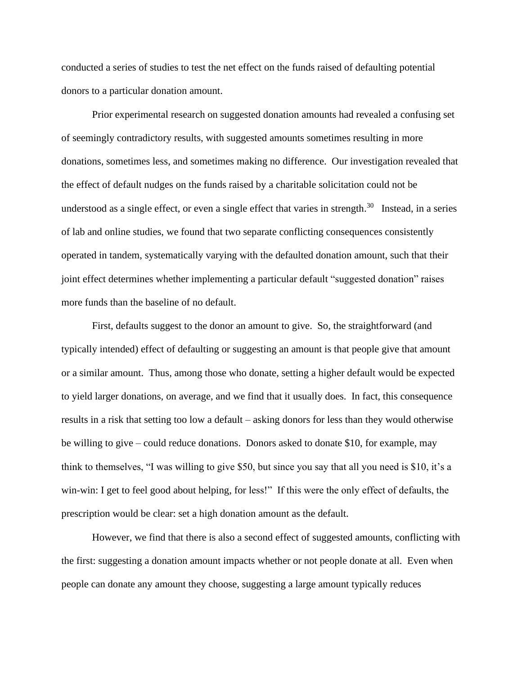conducted a series of studies to test the net effect on the funds raised of defaulting potential donors to a particular donation amount.

Prior experimental research on suggested donation amounts had revealed a confusing set of seemingly contradictory results, with suggested amounts sometimes resulting in more donations, sometimes less, and sometimes making no difference. Our investigation revealed that the effect of default nudges on the funds raised by a charitable solicitation could not be understood as a single effect, or even a single effect that varies in strength.<sup>30</sup> Instead, in a series of lab and online studies, we found that two separate conflicting consequences consistently operated in tandem, systematically varying with the defaulted donation amount, such that their joint effect determines whether implementing a particular default "suggested donation" raises more funds than the baseline of no default.

First, defaults suggest to the donor an amount to give. So, the straightforward (and typically intended) effect of defaulting or suggesting an amount is that people give that amount or a similar amount. Thus, among those who donate, setting a higher default would be expected to yield larger donations, on average, and we find that it usually does. In fact, this consequence results in a risk that setting too low a default – asking donors for less than they would otherwise be willing to give – could reduce donations. Donors asked to donate \$10, for example, may think to themselves, "I was willing to give \$50, but since you say that all you need is \$10, it's a win-win: I get to feel good about helping, for less!" If this were the only effect of defaults, the prescription would be clear: set a high donation amount as the default.

However, we find that there is also a second effect of suggested amounts, conflicting with the first: suggesting a donation amount impacts whether or not people donate at all. Even when people can donate any amount they choose, suggesting a large amount typically reduces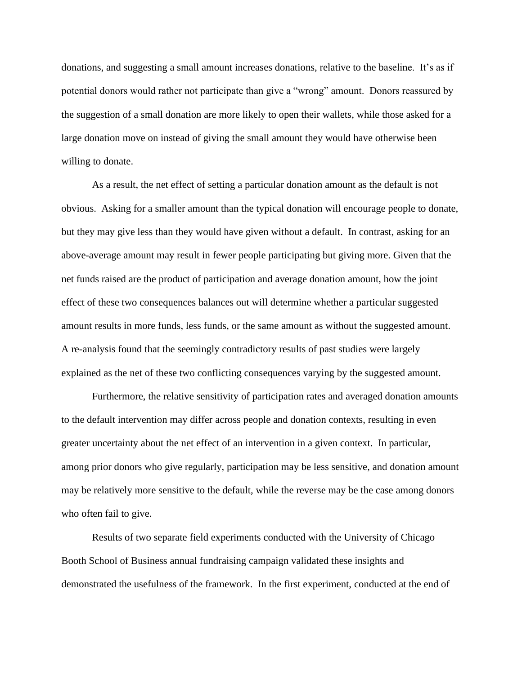donations, and suggesting a small amount increases donations, relative to the baseline. It's as if potential donors would rather not participate than give a "wrong" amount. Donors reassured by the suggestion of a small donation are more likely to open their wallets, while those asked for a large donation move on instead of giving the small amount they would have otherwise been willing to donate.

As a result, the net effect of setting a particular donation amount as the default is not obvious. Asking for a smaller amount than the typical donation will encourage people to donate, but they may give less than they would have given without a default. In contrast, asking for an above-average amount may result in fewer people participating but giving more. Given that the net funds raised are the product of participation and average donation amount, how the joint effect of these two consequences balances out will determine whether a particular suggested amount results in more funds, less funds, or the same amount as without the suggested amount. A re-analysis found that the seemingly contradictory results of past studies were largely explained as the net of these two conflicting consequences varying by the suggested amount.

Furthermore, the relative sensitivity of participation rates and averaged donation amounts to the default intervention may differ across people and donation contexts, resulting in even greater uncertainty about the net effect of an intervention in a given context. In particular, among prior donors who give regularly, participation may be less sensitive, and donation amount may be relatively more sensitive to the default, while the reverse may be the case among donors who often fail to give.

Results of two separate field experiments conducted with the University of Chicago Booth School of Business annual fundraising campaign validated these insights and demonstrated the usefulness of the framework. In the first experiment, conducted at the end of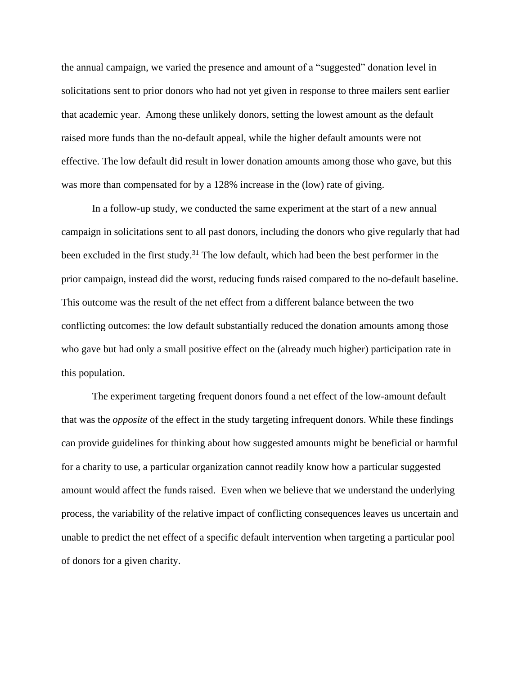the annual campaign, we varied the presence and amount of a "suggested" donation level in solicitations sent to prior donors who had not yet given in response to three mailers sent earlier that academic year. Among these unlikely donors, setting the lowest amount as the default raised more funds than the no-default appeal, while the higher default amounts were not effective. The low default did result in lower donation amounts among those who gave, but this was more than compensated for by a 128% increase in the (low) rate of giving.

In a follow-up study, we conducted the same experiment at the start of a new annual campaign in solicitations sent to all past donors, including the donors who give regularly that had been excluded in the first study.<sup>31</sup> The low default, which had been the best performer in the prior campaign, instead did the worst, reducing funds raised compared to the no-default baseline. This outcome was the result of the net effect from a different balance between the two conflicting outcomes: the low default substantially reduced the donation amounts among those who gave but had only a small positive effect on the (already much higher) participation rate in this population.

The experiment targeting frequent donors found a net effect of the low-amount default that was the *opposite* of the effect in the study targeting infrequent donors. While these findings can provide guidelines for thinking about how suggested amounts might be beneficial or harmful for a charity to use, a particular organization cannot readily know how a particular suggested amount would affect the funds raised. Even when we believe that we understand the underlying process, the variability of the relative impact of conflicting consequences leaves us uncertain and unable to predict the net effect of a specific default intervention when targeting a particular pool of donors for a given charity.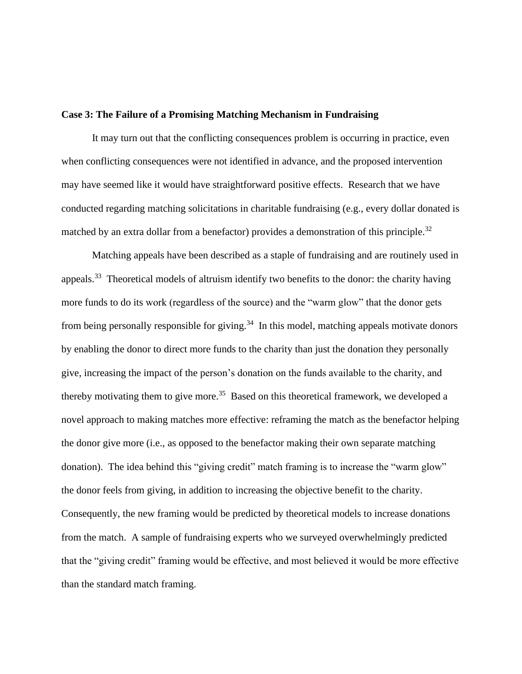## **Case 3: The Failure of a Promising Matching Mechanism in Fundraising**

It may turn out that the conflicting consequences problem is occurring in practice, even when conflicting consequences were not identified in advance, and the proposed intervention may have seemed like it would have straightforward positive effects. Research that we have conducted regarding matching solicitations in charitable fundraising (e.g., every dollar donated is matched by an extra dollar from a benefactor) provides a demonstration of this principle.<sup>32</sup>

Matching appeals have been described as a staple of fundraising and are routinely used in appeals.<sup>33</sup> Theoretical models of altruism identify two benefits to the donor: the charity having more funds to do its work (regardless of the source) and the "warm glow" that the donor gets from being personally responsible for giving.<sup>34</sup> In this model, matching appeals motivate donors by enabling the donor to direct more funds to the charity than just the donation they personally give, increasing the impact of the person's donation on the funds available to the charity, and thereby motivating them to give more.<sup>35</sup> Based on this theoretical framework, we developed a novel approach to making matches more effective: reframing the match as the benefactor helping the donor give more (i.e., as opposed to the benefactor making their own separate matching donation). The idea behind this "giving credit" match framing is to increase the "warm glow" the donor feels from giving, in addition to increasing the objective benefit to the charity. Consequently, the new framing would be predicted by theoretical models to increase donations from the match. A sample of fundraising experts who we surveyed overwhelmingly predicted that the "giving credit" framing would be effective, and most believed it would be more effective than the standard match framing.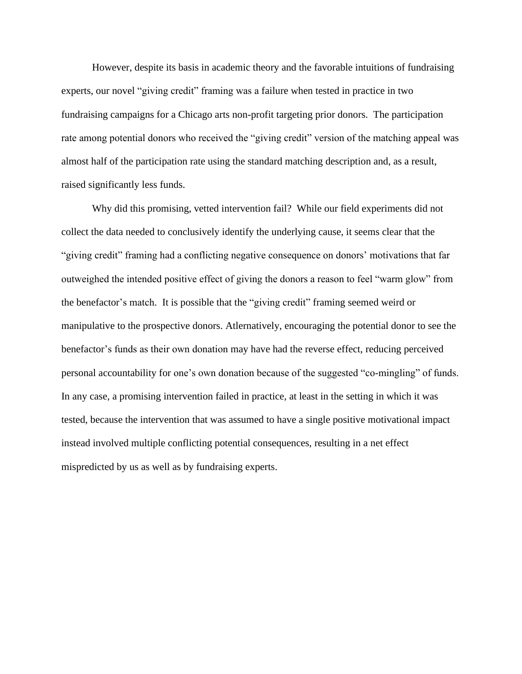However, despite its basis in academic theory and the favorable intuitions of fundraising experts, our novel "giving credit" framing was a failure when tested in practice in two fundraising campaigns for a Chicago arts non-profit targeting prior donors. The participation rate among potential donors who received the "giving credit" version of the matching appeal was almost half of the participation rate using the standard matching description and, as a result, raised significantly less funds.

Why did this promising, vetted intervention fail? While our field experiments did not collect the data needed to conclusively identify the underlying cause, it seems clear that the "giving credit" framing had a conflicting negative consequence on donors' motivations that far outweighed the intended positive effect of giving the donors a reason to feel "warm glow" from the benefactor's match. It is possible that the "giving credit" framing seemed weird or manipulative to the prospective donors. Atlernatively, encouraging the potential donor to see the benefactor's funds as their own donation may have had the reverse effect, reducing perceived personal accountability for one's own donation because of the suggested "co-mingling" of funds. In any case, a promising intervention failed in practice, at least in the setting in which it was tested, because the intervention that was assumed to have a single positive motivational impact instead involved multiple conflicting potential consequences, resulting in a net effect mispredicted by us as well as by fundraising experts.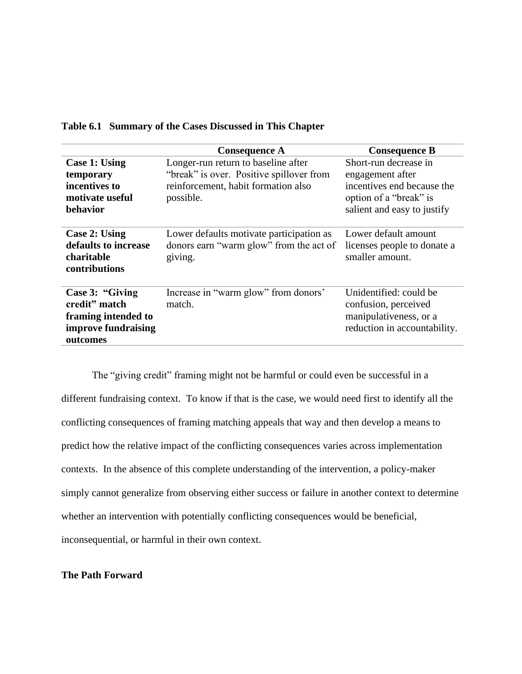|                                                                                            | <b>Consequence A</b>                                                                                                                | <b>Consequence B</b>                                                                                                             |
|--------------------------------------------------------------------------------------------|-------------------------------------------------------------------------------------------------------------------------------------|----------------------------------------------------------------------------------------------------------------------------------|
| Case 1: Using<br>temporary<br>incentives to<br>motivate useful<br>behavior                 | Longer-run return to baseline after<br>"break" is over. Positive spillover from<br>reinforcement, habit formation also<br>possible. | Short-run decrease in<br>engagement after<br>incentives end because the<br>option of a "break" is<br>salient and easy to justify |
| <b>Case 2: Using</b><br>defaults to increase<br>charitable<br>contributions                | Lower defaults motivate participation as<br>donors earn "warm glow" from the act of<br>giving.                                      | Lower default amount<br>licenses people to donate a<br>smaller amount.                                                           |
| Case 3: "Giving<br>credit" match<br>framing intended to<br>improve fundraising<br>outcomes | Increase in "warm glow" from donors"<br>match.                                                                                      | Unidentified: could be<br>confusion, perceived<br>manipulativeness, or a<br>reduction in accountability.                         |

## **Table 6.1 Summary of the Cases Discussed in This Chapter**

The "giving credit" framing might not be harmful or could even be successful in a different fundraising context. To know if that is the case, we would need first to identify all the conflicting consequences of framing matching appeals that way and then develop a means to predict how the relative impact of the conflicting consequences varies across implementation contexts. In the absence of this complete understanding of the intervention, a policy-maker simply cannot generalize from observing either success or failure in another context to determine whether an intervention with potentially conflicting consequences would be beneficial, inconsequential, or harmful in their own context.

## **The Path Forward**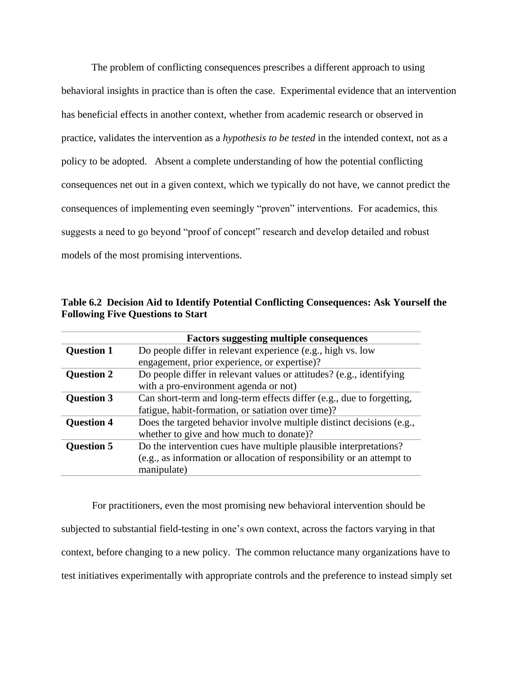The problem of conflicting consequences prescribes a different approach to using behavioral insights in practice than is often the case. Experimental evidence that an intervention has beneficial effects in another context, whether from academic research or observed in practice, validates the intervention as a *hypothesis to be tested* in the intended context, not as a policy to be adopted. Absent a complete understanding of how the potential conflicting consequences net out in a given context, which we typically do not have, we cannot predict the consequences of implementing even seemingly "proven" interventions. For academics, this suggests a need to go beyond "proof of concept" research and develop detailed and robust models of the most promising interventions.

|                   | <b>Factors suggesting multiple consequences</b>                        |  |
|-------------------|------------------------------------------------------------------------|--|
| <b>Question 1</b> | Do people differ in relevant experience (e.g., high vs. low            |  |
|                   | engagement, prior experience, or expertise)?                           |  |
| <b>Question 2</b> | Do people differ in relevant values or attitudes? (e.g., identifying   |  |
|                   | with a pro-environment agenda or not)                                  |  |
| <b>Question 3</b> | Can short-term and long-term effects differ (e.g., due to forgetting,  |  |
|                   | fatigue, habit-formation, or satiation over time)?                     |  |
| <b>Question 4</b> | Does the targeted behavior involve multiple distinct decisions (e.g.,  |  |
|                   | whether to give and how much to donate)?                               |  |
| <b>Question 5</b> | Do the intervention cues have multiple plausible interpretations?      |  |
|                   | (e.g., as information or allocation of responsibility or an attempt to |  |
|                   | manipulate)                                                            |  |

**Table 6.2 Decision Aid to Identify Potential Conflicting Consequences: Ask Yourself the Following Five Questions to Start**

For practitioners, even the most promising new behavioral intervention should be subjected to substantial field-testing in one's own context, across the factors varying in that context, before changing to a new policy. The common reluctance many organizations have to test initiatives experimentally with appropriate controls and the preference to instead simply set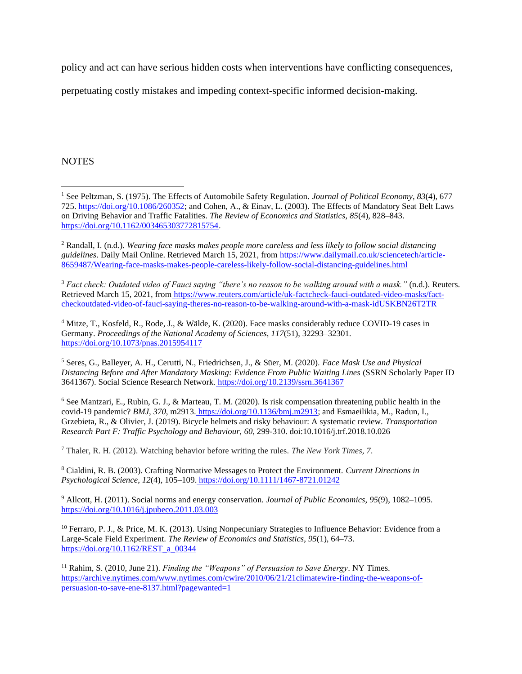policy and act can have serious hidden costs when interventions have conflicting consequences,

perpetuating costly mistakes and impeding context-specific informed decision-making.

## **NOTES**

<sup>3</sup> *Fact check: Outdated video of Fauci saying "there's no reason to be walking around with a mask."* (n.d.). Reuters. Retrieved March 15, 2021, from [https://www.reuters.com/article/uk-factcheck-fauci-outdated-video-masks/fact](https://www.reuters.com/article/uk-factcheck-fauci-outdated-video-masks/fact-checkoutdated-video-of-fauci-saying-theres-no-reason-to-be-walking-around-with-a-mask-idUSKBN26T2TR)[checkoutdated-video-of-fauci-saying-theres-no-reason-to-be-walking-around-with-a-mask-idUSKBN26T2TR](https://www.reuters.com/article/uk-factcheck-fauci-outdated-video-masks/fact-checkoutdated-video-of-fauci-saying-theres-no-reason-to-be-walking-around-with-a-mask-idUSKBN26T2TR)

<sup>4</sup> Mitze, T., Kosfeld, R., Rode, J., & Wälde, K. (2020). Face masks considerably reduce COVID-19 cases in Germany. *Proceedings of the National Academy of Sciences*, *117*(51), 32293–32301[.](https://doi.org/10.1073/pnas.2015954117) <https://doi.org/10.1073/pnas.2015954117>

<sup>5</sup> Seres, G., Balleyer, A. H., Cerutti, N., Friedrichsen, J., & Süer, M. (2020). *Face Mask Use and Physical Distancing Before and After Mandatory Masking: Evidence From Public Waiting Lines* (SSRN Scholarly Paper ID 3641367). Social Science Research Network. <https://doi.org/10.2139/ssrn.3641367>

 $6$  See Mantzari, E., Rubin, G. J., & Marteau, T. M. (2020). Is risk compensation threatening public health in the covid-19 pandemic? *BMJ*, *370*, m2913. [https://doi.org/10.1136/bmj.m2913;](https://doi.org/10.1136/bmj.m2913) and Esmaeilikia, M., Radun, I., Grzebieta, R., & Olivier, J. (2019). Bicycle helmets and risky behaviour: A systematic review. *Transportation Research Part F: Traffic Psychology and Behaviour, 60*, 299-310. doi:10.1016/j.trf.2018.10.026

<sup>7</sup> Thaler, R. H. (2012). Watching behavior before writing the rules. *The New York Times*, *7*.

<sup>8</sup> Cialdini, R. B. (2003). Crafting Normative Messages to Protect the Environment. *Current Directions in Psychological Science*, *12*(4), 105–109. <https://doi.org/10.1111/1467-8721.01242>

<sup>9</sup> Allcott, H. (2011). Social norms and energy conservation. *Journal of Public Economics*, *95*(9), 1082–109[5.](https://doi.org/10.1016/j.jpubeco.2011.03.003) <https://doi.org/10.1016/j.jpubeco.2011.03.003>

<sup>10</sup> Ferraro, P. J., & Price, M. K. (2013). Using Nonpecuniary Strategies to Influence Behavior: Evidence from a Large-Scale Field Experiment. *The Review of Economics and Statistics*, *95*(1), 64–73[.](https://doi.org/10.1162/REST_a_00344) [https://doi.org/10.1162/REST\\_a\\_00344](https://doi.org/10.1162/REST_a_00344)

<sup>11</sup> Rahim, S. (2010, June 21). *Finding the "Weapons" of Persuasion to Save Energy*. NY Time[s.](https://archive.nytimes.com/www.nytimes.com/cwire/2010/06/21/21climatewire-finding-the-weapons-of-persuasion-to-save-ene-8137.html?pagewanted=1) [https://archive.nytimes.com/www.nytimes.com/cwire/2010/06/21/21climatewire-finding-the-weapons-of](https://archive.nytimes.com/www.nytimes.com/cwire/2010/06/21/21climatewire-finding-the-weapons-of-persuasion-to-save-ene-8137.html?pagewanted=1)[persuasion-to-save-ene-8137.html?pagewanted=1](https://archive.nytimes.com/www.nytimes.com/cwire/2010/06/21/21climatewire-finding-the-weapons-of-persuasion-to-save-ene-8137.html?pagewanted=1)

<sup>1</sup> See Peltzman, S. (1975). The Effects of Automobile Safety Regulation. *Journal of Political Economy*, *83*(4), 677– 725. [https://doi.org/10.1086/260352;](https://doi.org/10.1086/260352) and Cohen, A., & Einav, L. (2003). The Effects of Mandatory Seat Belt Laws on Driving Behavior and Traffic Fatalities. *The Review of Economics and Statistics*, *85*(4), 828–84[3.](https://doi.org/10.1162/003465303772815754) [https://doi.org/10.1162/003465303772815754.](https://doi.org/10.1162/003465303772815754)

<sup>2</sup> Randall, I. (n.d.). *Wearing face masks makes people more careless and less likely to follow social distancing guidelines*. Daily Mail Online. Retrieved March 15, 2021, from [https://www.dailymail.co.uk/sciencetech/article-](https://www.dailymail.co.uk/sciencetech/article-8659487/Wearing-face-masks-makes-people-careless-likely-follow-social-distancing-guidelines.html)[8659487/Wearing-face-masks-makes-people-careless-likely-follow-social-distancing-guidelines.html](https://www.dailymail.co.uk/sciencetech/article-8659487/Wearing-face-masks-makes-people-careless-likely-follow-social-distancing-guidelines.html)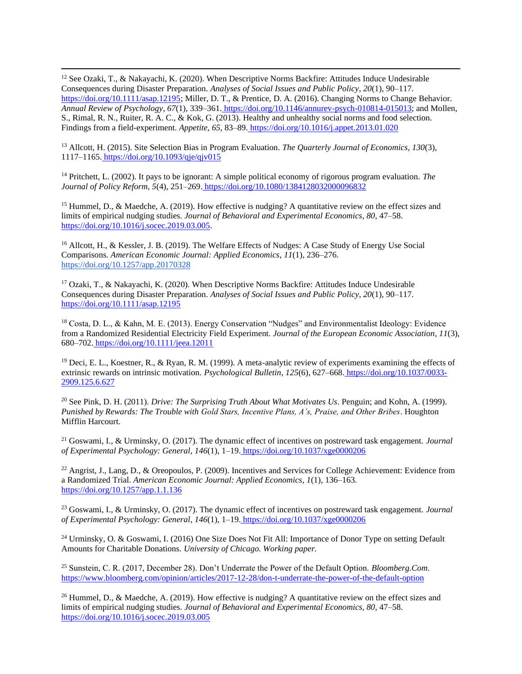<sup>12</sup> See Ozaki, T., & Nakayachi, K. (2020). When Descriptive Norms Backfire: Attitudes Induce Undesirable Consequences during Disaster Preparation. *Analyses of Social Issues and Public Policy*, *20*(1), 90–11[7.](https://doi.org/10.1111/asap.12195) [https://doi.org/10.1111/asap.12195;](https://doi.org/10.1111/asap.12195) Miller, D. T., & Prentice, D. A. (2016). Changing Norms to Change Behavior. *Annual Review of Psychology*, *67*(1), 339–361. [https://doi.org/10.1146/annurev-psych-010814-015013;](https://doi.org/10.1146/annurev-psych-010814-015013) and Mollen, S., Rimal, R. N., Ruiter, R. A. C., & Kok, G. (2013). Healthy and unhealthy social norms and food selection. Findings from a field-experiment. *Appetite*, *65*, 83–89. <https://doi.org/10.1016/j.appet.2013.01.020>

<sup>13</sup> Allcott, H. (2015). Site Selection Bias in Program Evaluation. *The Quarterly Journal of Economics*, *130*(3), 1117–1165. <https://doi.org/10.1093/qje/qjv015>

<sup>14</sup> Pritchett, L. (2002). It pays to be ignorant: A simple political economy of rigorous program evaluation. *The Journal of Policy Reform*, *5*(4), 251–269. <https://doi.org/10.1080/1384128032000096832>

<sup>15</sup> Hummel, D., & Maedche, A. (2019). How effective is nudging? A quantitative review on the effect sizes and limits of empirical nudging studies. *Journal of Behavioral and Experimental Economics*, *80*, 47–5[8.](https://doi.org/10.1016/j.socec.2019.03.005) [https://doi.org/10.1016/j.socec.2019.03.005.](https://doi.org/10.1016/j.socec.2019.03.005)

<sup>16</sup> Allcott, H., & Kessler, J. B. (2019). The Welfare Effects of Nudges: A Case Study of Energy Use Social Comparisons. *American Economic Journal: Applied Economics*, *11*(1), 236–276[.](https://doi.org/10.1257/app.20170328) <https://doi.org/10.1257/app.20170328>

<sup>17</sup> Ozaki, T., & Nakayachi, K. (2020). When Descriptive Norms Backfire: Attitudes Induce Undesirable Consequences during Disaster Preparation. *Analyses of Social Issues and Public Policy*, *20*(1), 90–11[7.](https://doi.org/10.1111/asap.12195) <https://doi.org/10.1111/asap.12195>

<sup>18</sup> Costa, D. L., & Kahn, M. E. (2013). Energy Conservation "Nudges" and Environmentalist Ideology: Evidence from a Randomized Residential Electricity Field Experiment. *Journal of the European Economic Association*, *11*(3), 680–702. <https://doi.org/10.1111/jeea.12011>

 $19$  Deci, E. L., Koestner, R., & Ryan, R. M. (1999). A meta-analytic review of experiments examining the effects of extrinsic rewards on intrinsic motivation. *Psychological Bulletin*, *125*(6), 627–668. [https://doi.org/10.1037/0033-](https://doi.org/10.1037/0033-2909.125.6.627) [2909.125.6.627](https://doi.org/10.1037/0033-2909.125.6.627)

<sup>20</sup> See Pink, D. H. (2011). *Drive: The Surprising Truth About What Motivates Us*. Penguin; and Kohn, A. (1999). *Punished by Rewards: The Trouble with Gold Stars, Incentive Plans, A's, Praise, and Other Bribes*. Houghton Mifflin Harcourt.

<sup>21</sup> Goswami, I., & Urminsky, O. (2017). The dynamic effect of incentives on postreward task engagement. *Journal of Experimental Psychology: General*, *146*(1), 1–19. <https://doi.org/10.1037/xge0000206>

<sup>22</sup> Angrist, J., Lang, D., & Oreopoulos, P. (2009). Incentives and Services for College Achievement: Evidence from a Randomized Trial. *American Economic Journal: Applied Economics*, *1*(1), 136–163[.](https://doi.org/10.1257/app.1.1.136) <https://doi.org/10.1257/app.1.1.136>

<sup>23</sup> Goswami, I., & Urminsky, O. (2017). The dynamic effect of incentives on postreward task engagement. *Journal of Experimental Psychology: General*, *146*(1), 1–19. <https://doi.org/10.1037/xge0000206>

<sup>24</sup> Urminsky, O. & Goswami, I. (2016) One Size Does Not Fit All: Importance of Donor Type on setting Default Amounts for Charitable Donations. *University of Chicago. Working paper.*

<sup>25</sup> Sunstein, C. R. (2017, December 28). Don't Underrate the Power of the Default Option. *Bloomberg.Com*[.](https://www.bloomberg.com/opinion/articles/2017-12-28/don-t-underrate-the-power-of-the-default-option) <https://www.bloomberg.com/opinion/articles/2017-12-28/don-t-underrate-the-power-of-the-default-option>

<sup>26</sup> Hummel, D., & Maedche, A. (2019). How effective is nudging? A quantitative review on the effect sizes and limits of empirical nudging studies. *Journal of Behavioral and Experimental Economics*, *80*, 47–5[8.](https://doi.org/10.1016/j.socec.2019.03.005) <https://doi.org/10.1016/j.socec.2019.03.005>